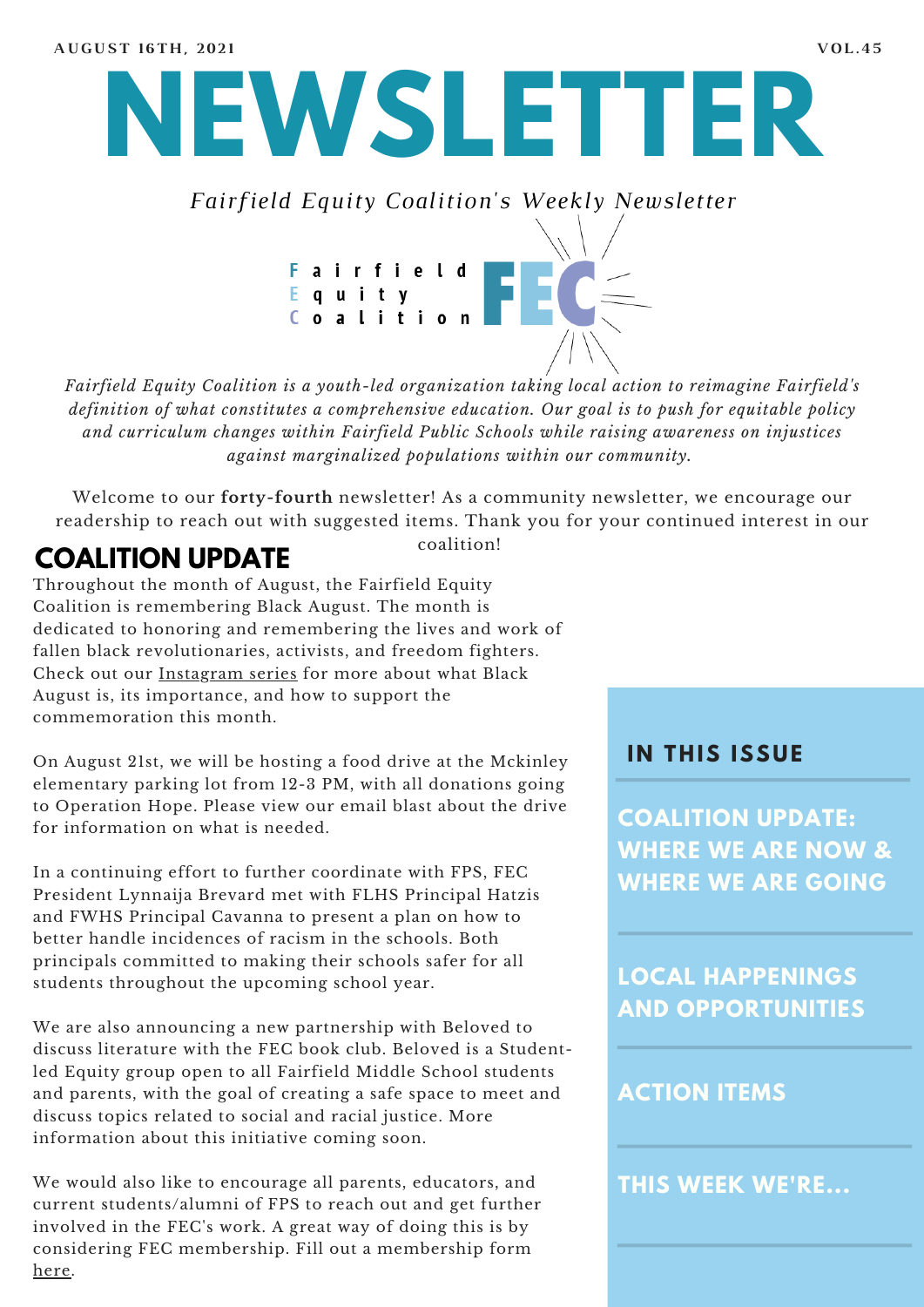

*Fairfield Equity Coalition's Weekly Newsletter*

Fairfield<br>Equity<br>Coalition

*Fairfield Equity Coalition is a youth-led organization taking local action to reimagine Fairfield's definition of what constitutes a comprehensive education. Our goal is to push for equitable policy and curriculum changes within Fairfield Public Schools while raising awareness on injustices against marginalized populations within our community.*

Welcome to our **forty-fourth** newsletter! As a community newsletter, we encourage our readership to reach out with suggested items. Thank you for your continued interest in our

coalition!

# **COALITION UPDATE**

Throughout the month of August, the Fairfield Equity Coalition is remembering Black August. The month is dedicated to honoring and remembering the lives and work of fallen black revolutionaries, activists, and freedom fighters. Check out our [Instagram](https://www.instagram.com/fairfieldequitycoalition/) series for more about what Black August is, its importance, and how to support the commemoration this month.

On August 21st, we will be hosting a food drive at the Mckinley elementary parking lot from 12-3 PM, with all donations going to Operation Hope. Please view our email blast about the drive for information on what is needed.

In a continuing effort to further coordinate with FPS, FEC President Lynnaija Brevard met with FLHS Principal Hatzis and FWHS Principal Cavanna to present a plan on how to better handle incidences of racism in the schools. Both principals committed to making their schools safer for all students throughout the upcoming school year.

We are also announcing a new partnership with Beloved to discuss literature with the FEC book club. Beloved is a Studentled Equity group open to all Fairfield Middle School students and parents, with the goal of creating a safe space to meet and discuss topics related to social and racial justice. More information about this initiative coming soon.

We would also like to encourage all parents, educators, and current students/alumni of FPS to reach out and get further involved in the FEC's work. A great way of doing this is by considering FEC membership. Fill out a membership form [here.](https://forms.gle/DexUokdb6PVSWqCs5)

#### **I N THIS ISSUE**

**COALITION UPDATE: WHERE WE ARE NOW & WHERE WE ARE GOING**

**LOCAL HAPPENINGS AND OPPORTUNITIES**

#### **ACTION ITEMS**

**THIS WEEK WE'RE...**